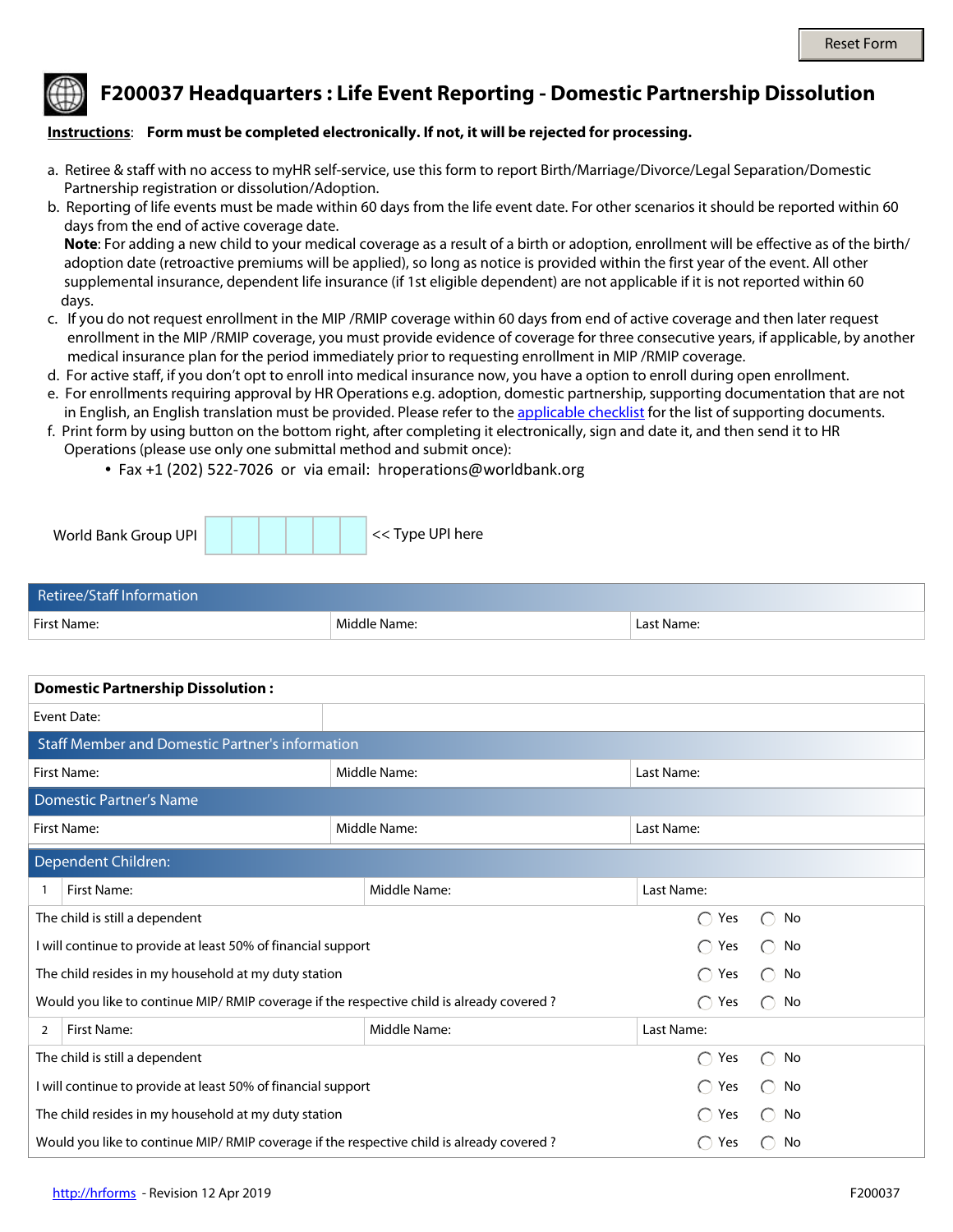

**F200037 Headquarters : Life Event Reporting - Domestic Partnership Dissolution**

## **Instructions**: **Form must be completed electronically. If not, it will be rejected for processing.**

- a. Retiree & staff with no access to myHR self-service, use this form to report Birth/Marriage/Divorce/Legal Separation/Domestic Partnership registration or dissolution/Adoption.
- b. Reporting of life events must be made within 60 days from the life event date. For other scenarios it should be reported within 60 days from the end of active coverage date.

 **Note**: For adding a new child to your medical coverage as a result of a birth or adoption, enrollment will be effective as of the birth/ adoption date (retroactive premiums will be applied), so long as notice is provided within the first year of the event. All other supplemental insurance, dependent life insurance (if 1st eligible dependent) are not applicable if it is not reported within 60 days.

- c. If you do not request enrollment in the MIP /RMIP coverage within 60 days from end of active coverage and then later request enrollment in the MIP /RMIP coverage, you must provide evidence of coverage for three consecutive years, if applicable, by another medical insurance plan for the period immediately prior to requesting enrollment in MIP /RMIP coverage.
- d. For active staff, if you don't opt to enroll into medical insurance now, you have a option to enroll during open enrollment.
- e. For enrollments requiring approval by HR Operations e.g. adoption, domestic partnership, supporting documentation that are not in English, an English translation must be provided. Please refer to the [applicable checklist](http://www.worldbank.org/en/about/unit/human-resources/household-changes-and-life-events-reporting) for the list of supporting documents.
- f. Print form by using button on the bottom right, after completing it electronically, sign and date it, and then send it to HR Operations (please use only one submittal method and submit once):
	- Fax +1 (202) 522-7026 or via email: hroperations@worldbank.org

| World Bank Group UPI |  |  | << Type UPI here |
|----------------------|--|--|------------------|
|----------------------|--|--|------------------|

| Retiree/Staff Information |              |            |  |  |  |  |
|---------------------------|--------------|------------|--|--|--|--|
| First Name:               | Middle Name: | Last Name: |  |  |  |  |

| <b>Domestic Partnership Dissolution:</b>                                                 |             |              |              |                   |                                                     |              |  |
|------------------------------------------------------------------------------------------|-------------|--------------|--------------|-------------------|-----------------------------------------------------|--------------|--|
| Event Date:                                                                              |             |              |              |                   |                                                     |              |  |
| <b>Staff Member and Domestic Partner's information</b>                                   |             |              |              |                   |                                                     |              |  |
| <b>First Name:</b>                                                                       |             | Middle Name: |              | Last Name:        |                                                     |              |  |
| <b>Domestic Partner's Name</b>                                                           |             |              |              |                   |                                                     |              |  |
| First Name:                                                                              |             | Middle Name: |              | Last Name:        |                                                     |              |  |
| Dependent Children:                                                                      |             |              |              |                   |                                                     |              |  |
|                                                                                          | First Name: |              | Middle Name: | Last Name:        |                                                     |              |  |
| The child is still a dependent                                                           |             |              |              |                   | $\bigcap$<br>Yes                                    | No           |  |
| I will continue to provide at least 50% of financial support                             |             |              |              | $\bigcap$ Yes     | No<br>⊖                                             |              |  |
| The child resides in my household at my duty station                                     |             |              |              | Yes<br>$\bigcap$  | $\bigcap$<br>No                                     |              |  |
| Would you like to continue MIP/RMIP coverage if the respective child is already covered? |             |              |              | $\bigcirc$<br>Yes | No<br>$\left( \begin{array}{c} \end{array} \right)$ |              |  |
| 2                                                                                        | First Name: |              | Middle Name: | Last Name:        |                                                     |              |  |
| The child is still a dependent                                                           |             |              |              |                   | $\bigcap$<br>Yes                                    | No           |  |
| I will continue to provide at least 50% of financial support                             |             |              |              |                   | $\bigcap$<br>Yes                                    | No<br>$(\ )$ |  |
| The child resides in my household at my duty station                                     |             |              |              |                   | Yes<br>◯                                            | No<br>( )    |  |
| Would you like to continue MIP/RMIP coverage if the respective child is already covered? |             |              |              |                   | Yes<br>$\left(\begin{array}{c} \end{array}\right)$  | No           |  |